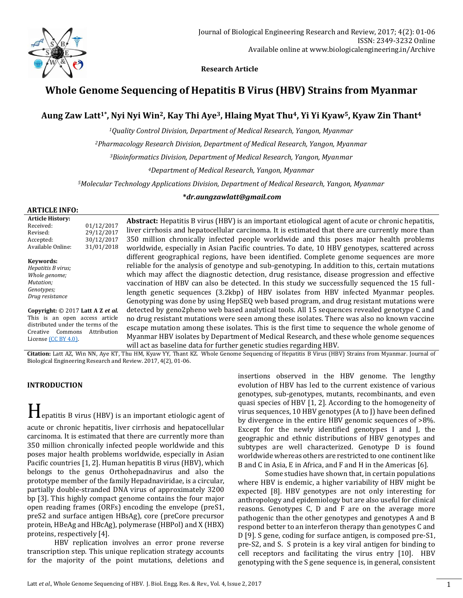

 **Research Article**

# **Whole Genome Sequencing of Hepatitis B Virus (HBV) Strains from Myanmar**

## **Aung Zaw Latt1\* , Nyi Nyi Win2, Kay Thi Aye3, Hlaing Myat Thu4, Yi Yi Kyaw5, Kyaw Zin Thant<sup>4</sup>**

*<sup>1</sup>Quality Control Division, Department of Medical Research, Yangon, Myanmar*

*<sup>2</sup>Pharmacology Research Division, Department of Medical Research, Yangon, Myanmar*

*<sup>3</sup>Bioinformatics Division, Department of Medical Research, Yangon, Myanmar*

*<sup>4</sup>Department of Medical Research, Yangon, Myanmar*

*<sup>5</sup>Molecular Technology Applications Division, Department of Medical Research, Yangon, Myanmar*

#### **\****dr.aungzawlatt@gmail.com*

#### **ARTICLE INFO:**

| <b>Article History:</b><br>Received:<br>Revised:<br>Accepted:<br>Available Online:                                                                          | 01/12/2017<br>29/12/2017<br>30/12/2017<br>31/01/2018 | <b>Abstract:</b> Hepatitis B virus (HBV) is an important etiological agent of acute or chronic hepatitis,<br>liver cirrhosis and hepatocellular carcinoma. It is estimated that there are currently more than<br>350 million chronically infected people worldwide and this poses major health problems<br>worldwide, especially in Asian Pacific countries. To date, 10 HBV genotypes, scattered across                                                                                                                                                                           |
|-------------------------------------------------------------------------------------------------------------------------------------------------------------|------------------------------------------------------|------------------------------------------------------------------------------------------------------------------------------------------------------------------------------------------------------------------------------------------------------------------------------------------------------------------------------------------------------------------------------------------------------------------------------------------------------------------------------------------------------------------------------------------------------------------------------------|
| Keywords:<br>Hepatitis B virus;<br>Whole genome;<br>Mutation;<br>Genotypes;<br>Drug resistance                                                              |                                                      | different geographical regions, have been identified. Complete genome sequences are more<br>reliable for the analysis of genotype and sub-genotyping. In addition to this, certain mutations<br>which may affect the diagnostic detection, drug resistance, disease progression and effective<br>vaccination of HBV can also be detected. In this study we successfully sequenced the 15 full-<br>length genetic sequences (3.2kbp) of HBV isolates from HBV infected Myanmar peoples.<br>Genotyping was done by using HepSEQ web based program, and drug resistant mutations were |
| Copyright: © 2017 Latt A Z et al.<br>This is an open access article<br>distributed under the terms of the<br>Commons<br>Creative<br>License $(CC BY 4.0)$ . | Attribution                                          | detected by geno2pheno web based analytical tools. All 15 sequences revealed genotype C and<br>no drug resistant mutations were seen among these isolates. There was also no known vaccine<br>escape mutation among these isolates. This is the first time to sequence the whole genome of<br>Myanmar HBV isolates by Department of Medical Research, and these whole genome sequences<br>will act as baseline data for further genetic studies regarding HBV.                                                                                                                     |

**Citation:** Latt AZ, Win NN, Aye KT, Thu HM, Kyaw YY, Thant KZ. Whole Genome Sequencing of Hepatitis B Virus (HBV) Strains from Myanmar. Journal of Biological Engineering Research and Review. 2017, 4(2), 01-06.

#### **INTRODUCTION**

Hepatitis B virus (HBV) is an important etiologic agent of acute or chronic hepatitis, liver cirrhosis and hepatocellular carcinoma. It is estimated that there are currently more than 350 million chronically infected people worldwide and this poses major health problems worldwide, especially in Asian Pacific countries [1, 2]. Human hepatitis B virus (HBV), which belongs to the genus Orthohepadnavirus and also the prototype member of the family Hepadnaviridae, is a circular, partially double-stranded DNA virus of approximately 3200 bp [3]. This highly compact genome contains the four major open reading frames (ORFs) encoding the envelope (preS1, preS2 and surface antigen HBsAg), core (preCore precursor protein, HBeAg and HBcAg), polymerase (HBPol) and X (HBX) proteins, respectively [4].

HBV replication involves an error prone reverse transcription step. This unique replication strategy accounts for the majority of the point mutations, deletions and insertions observed in the HBV genome. The lengthy evolution of HBV has led to the current existence of various genotypes, sub-genotypes, mutants, recombinants, and even quasi species of HBV [1, 2]. According to the homogeneity of virus sequences, 10 HBV genotypes (A to J) have been defined by divergence in the entire HBV genomic sequences of >8%. Except for the newly identified genotypes I and J, the geographic and ethnic distributions of HBV genotypes and subtypes are well characterized. Genotype D is found worldwide whereas others are restricted to one continent like B and C in Asia, E in Africa, and F and H in the Americas [6].

Some studies have shown that, in certain populations where HBV is endemic, a higher variability of HBV might be expected [8]. HBV genotypes are not only interesting for anthropology and epidemiology but are also useful for clinical reasons. Genotypes C, D and F are on the average more pathogenic than the other genotypes and genotypes A and B respond better to an interferon therapy than genotypes C and D [9]. S gene, coding for surface antigen, is composed pre-S1, pre-S2, and S. S protein is a key viral antigen for binding to cell receptors and facilitating the virus entry [10]. HBV genotyping with the S gene sequence is, in general, consistent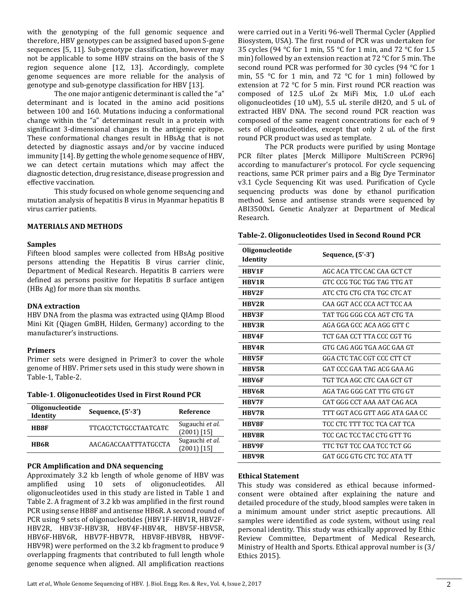with the genotyping of the full genomic sequence and therefore, HBV genotypes can be assigned based upon S-gene sequences [5, 11]. Sub-genotype classification, however may not be applicable to some HBV strains on the basis of the S region sequence alone [12, 13]. Accordingly, complete genome sequences are more reliable for the analysis of genotype and sub-genotype classification for HBV [13].

The one major antigenic determinant is called the "a" determinant and is located in the amino acid positions between 100 and 160. Mutations inducing a conformational change within the "a" determinant result in a protein with significant 3-dimensional changes in the antigenic epitope. These conformational changes result in HBsAg that is not detected by diagnostic assays and/or by vaccine induced immunity [14]. By getting the whole genome sequence of HBV, we can detect certain mutations which may affect the diagnostic detection, drug resistance, disease progression and effective vaccination.

This study focused on whole genome sequencing and mutation analysis of hepatitis B virus in Myanmar hepatitis B virus carrier patients.

#### **MATERIALS AND METHODS**

#### **Samples**

Fifteen blood samples were collected from HBsAg positive persons attending the Hepatitis B virus carrier clinic, Department of Medical Research. Hepatitis B carriers were defined as persons positive for Hepatitis B surface antigen (HBs Ag) for more than six months.

#### **DNA extraction**

HBV DNA from the plasma was extracted using QIAmp Blood Mini Kit (Qiagen GmBH, Hilden, Germany) according to the manufacturer's instructions.

#### **Primers**

Primer sets were designed in Primer3 to cover the whole genome of HBV. Primer sets used in this study were shown in Table-1, Table-2.

**Table-1**. **Oligonucleotides Used in First Round PCR**

| Oligonucleotide<br>Identity | Sequence, $(5'-3')$         | Reference                        |
|-----------------------------|-----------------------------|----------------------------------|
| <b>HB8F</b>                 | <b>TTCACCTCTGCCTAATCATC</b> | Sugauchi et al.<br>$(2001)$ [15] |
| <b>HB6R</b>                 | AACAGACCAATTTATGCCTA        | Sugauchi et al.<br>(2001) [15]   |

#### **PCR Amplification and DNA sequencing**

Approximately 3.2 kb length of whole genome of HBV was amplified using 10 sets of oligonucleotides. All oligonucleotides used in this study are listed in Table 1 and Table 2. A fragment of 3.2 kb was amplified in the first round PCR using sense HB8F and antisense HB6R. A second round of PCR using 9 sets of oligonucleotides (HBV1F-HBV1R, HBV2F-HBV2R, HBV3F-HBV3R, HBV4F-HBV4R, HBV5F-HBV5R, HBV6F-HBV6R, HBV7F-HBV7R, HBV8F-HBV8R, HBV9F-HBV9R) were performed on the 3.2 kb fragment to produce 9 overlapping fragments that contributed to full length whole genome sequence when aligned. All amplification reactions

were carried out in a Veriti 96-well Thermal Cycler (Applied Biosystem, USA). The first round of PCR was undertaken for 35 cycles (94 °C for 1 min, 55 °C for 1 min, and 72 °C for 1.5 min) followed by an extension reaction at 72 °C for 5 min. The second round PCR was performed for 30 cycles (94 °C for 1 min, 55 °C for 1 min, and 72 °C for 1 min) followed by extension at 72 °C for 5 min. First round PCR reaction was composed of 12.5 uLof 2x MiFi Mix, 1.0 uLof each oligonucleotides (10 uM), 5.5 uL sterile dH2O, and 5 uL of extracted HBV DNA. The second round PCR reaction was composed of the same reagent concentrations for each of 9 sets of oligonucleotides, except that only 2 uL of the first round PCR product was used as template.

The PCR products were purified by using Montage PCR filter plates [Merck Millipore MultiScreen PCR96] according to manufacturer's protocol. For cycle sequencing reactions, same PCR primer pairs and a Big Dye Terminator v3.1 Cycle Sequencing Kit was used. Purification of Cycle sequencing products was done by ethanol purification method. Sense and antisense strands were sequenced by ABI3500xL Genetic Analyzer at Department of Medical Research.

| <b>Oligonucleotide</b><br>Identity | Sequence, (5'-3')              |
|------------------------------------|--------------------------------|
| <b>HBV1F</b>                       | AGC ACA TTC CAC CAA GCT CT     |
| <b>HBV1R</b>                       | GTC CCG TGC TGG TAG TTG AT     |
| <b>HBV2F</b>                       | ATC CTG CTG CTA TGC CTC AT     |
| <b>HRV2R</b>                       | CAA GGT ACC CCA ACT TCC AA     |
| <b>HBV3F</b>                       | TAT TGG GGG CCA AGT CTG TA     |
| <b>HBV3R</b>                       | AGA GGA GCC ACA AGG GTT C      |
| HBV4F                              | TCT GAA CCT TTA CCC CGT TG     |
| <b>HRV4R</b>                       | GTG CAG AGG TGA AGC GAA GT     |
| <b>HRV5F</b>                       | GGA CTC TAC CGT CCC CTT CT     |
| <b>HBV5R</b>                       | GAT CCC GAA TAG ACG GAA AG     |
| <b>HRV6F</b>                       | TGT TCA AGC CTC CAA GCT GT     |
| <b>HBV6R</b>                       | AGA TAG GGG CAT TTG GTG GT     |
| <b>HRV7F</b>                       | CAT GGG CCT AAA AAT CAG ACA    |
| <b>HRV7R</b>                       | TTT GGT ACG GTT AGG ATA GAA CC |
| <b>HBV8F</b>                       | TCC CTC TTT TCC TCA CAT TCA    |
| <b>HBV8R</b>                       | TCC CAC TCC TAC CTG GTT TG     |
| <b>HBV9F</b>                       | TTC TGT TCC CAA TCC TCT GG     |
| HBV9R                              | GAT GCG GTG CTC TCC ATA TT     |

#### **Ethical Statement**

This study was considered as ethical because informedconsent were obtained after explaining the nature and detailed procedure of the study, blood samples were taken in a minimum amount under strict aseptic precautions. All samples were identified as code system, without using real personal identity. This study was ethically approved by Ethic Review Committee, Department of Medical Research, Ministry of Health and Sports. Ethical approval number is (3/ Ethics 2015).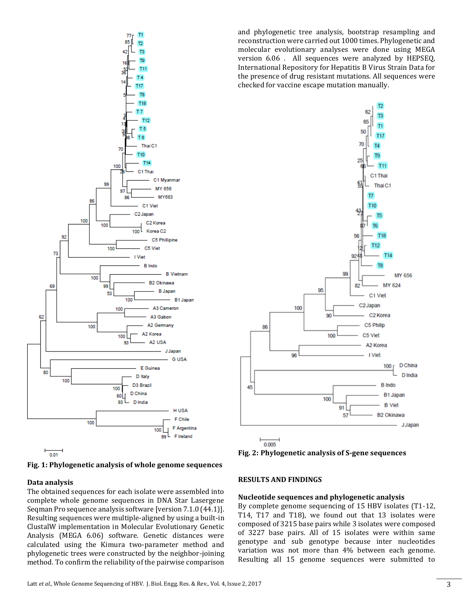



#### **Data analysis**

The obtained sequences for each isolate were assembled into complete whole genome sequences in DNA Star Lasergene Seqman Pro sequence analysis software [version 7.1.0 (44.1)]. Resulting sequences were multiple-aligned by using a built-in ClustalW implementation in Molecular Evolutionary Genetic Analysis (MEGA 6.06) software. Genetic distances were calculated using the Kimura two-parameter method and phylogenetic trees were constructed by the neighbor-joining method. To confirm the reliability of the pairwise comparison and phylogenetic tree analysis, bootstrap resampling and reconstruction were carried out 1000 times. Phylogenetic and molecular evolutionary analyses were done using MEGA version 6.06 . All sequences were analyzed by HEPSEQ, International Repository for Hepatitis B Virus Strain Data for the presence of drug resistant mutations. All sequences were checked for vaccine escape mutation manually.



**Fig. 2: Phylogenetic analysis of S-gene sequences**

## **RESULTS AND FINDINGS**

## **Nucleotide sequences and phylogenetic analysis**

By complete genome sequencing of 15 HBV isolates (T1-12, T14, T17 and T18), we found out that 13 isolates were composed of 3215 base pairs while 3 isolates were composed of 3227 base pairs. All of 15 isolates were within same genotype and sub genotype because inter nucleotides variation was not more than 4% between each genome. Resulting all 15 genome sequences were submitted to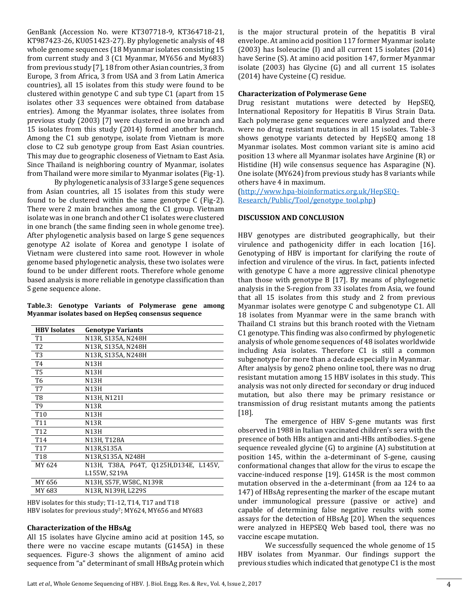GenBank (Accession No. were KT307718-9, KT364718-21, KT987423-26, KU051423-27). By phylogenetic analysis of 48 whole genome sequences (18 Myanmar isolates consisting 15 from current study and 3 (C1 Myanmar, MY656 and My683) from previous study [7], 18 from other Asian countries, 3 from Europe, 3 from Africa, 3 from USA and 3 from Latin America countries), all 15 isolates from this study were found to be clustered within genotype C and sub type C1 (apart from 15 isolates other 33 sequences were obtained from database entries). Among the Myanmar isolates, three isolates from previous study (2003) [7] were clustered in one branch and 15 isolates from this study (2014) formed another branch. Among the C1 sub genotype, isolate from Vietnam is more close to C2 sub genotype group from East Asian countries. This may due to geographic closeness of Vietnam to East Asia. Since Thailand is neighboring country of Myanmar, isolates from Thailand were more similar to Myanmar isolates (Fig-1).

By phylogenetic analysis of 33 large S gene sequences from Asian countries, all 15 isolates from this study were found to be clustered within the same genotype C (Fig-2). There were 2 main branches among the C1 group. Vietnam isolate was in one branch and other C1 isolates were clustered in one branch (the same finding seen in whole genome tree). After phylogenetic analysis based on large S gene sequences genotype A2 isolate of Korea and genotype I isolate of Vietnam were clustered into same root. However in whole genome based phylogenetic analysis, these two isolates were found to be under different roots. Therefore whole genome based analysis is more reliable in genotype classification than S gene sequence alone.

|  |  | Table.3: Genotype Variants of Polymerase gene among |  |
|--|--|-----------------------------------------------------|--|
|  |  | Myanmar isolates based on HepSeq consensus sequence |  |

| <b>HBV</b> Isolates | <b>Genotype Variants</b>              |
|---------------------|---------------------------------------|
| T <sub>1</sub>      | N13R, S135A, N248H                    |
| T <sub>2</sub>      | N13R, S135A, N248H                    |
| T <sub>3</sub>      | N13R, S135A, N248H                    |
| T4                  | <b>N13H</b>                           |
| T5                  | N13H                                  |
| T <sub>6</sub>      | N13H                                  |
| T7                  | <b>N13H</b>                           |
| T8                  | N13H, N121I                           |
| T9                  | N13R                                  |
| T <sub>10</sub>     | N13H                                  |
| T <sub>11</sub>     | N13R                                  |
| T <sub>12</sub>     | N13H                                  |
| T <sub>14</sub>     | N13H, T128A                           |
| T <sub>17</sub>     | N13R,S135A                            |
| T18                 | N13R,S135A, N248H                     |
| MY 624              | N13H, T38A, P64T, O125H,D134E, L145V, |
|                     | L155W, S219A                          |
| MY 656              | N13H, S57F, W58C, N139R               |
| MY 683              | N13R, N139H, L229S                    |

HBV isolates for this study; T1-12, T14, T17 and T18 HBV isolates for previous study<sup>7</sup>; MY624, MY656 and MY683

#### **Characterization of the HBsAg**

All 15 isolates have Glycine amino acid at position 145, so there were no vaccine escape mutants (G145A) in these sequences. Figure-3 shows the alignment of amino acid sequence from "a" determinant of small HBsAg protein which is the major structural protein of the hepatitis B viral envelope. At amino acid position 117 former Myanmar isolate (2003) has Isoleucine (I) and all current 15 isolates (2014) have Serine (S). At amino acid position 147, former Myanmar isolate (2003) has Glycine (G) and all current 15 isolates (2014) have Cysteine (C) residue.

#### **Characterization of Polymerase Gene**

Drug resistant mutations were detected by HepSEQ, International Repository for Hepatitis B Virus Strain Data. Each polymerase gene sequences were analyzed and there were no drug resistant mutations in all 15 isolates. Table-3 shows genotype variants detected by HepSEQ among 18 Myanmar isolates. Most common variant site is amino acid position 13 where all Myanmar isolates have Arginine (R) or Histidine (H) wile consensus sequence has Asparagine (N). One isolate (MY624) from previous study has 8 variants while others have 4 in maximum.

[\(http://www.hpa-bioinformatics.org.uk/HepSEQ-](http://www.hpa-bioinformatics.org.uk/HepSEQ-Research/Public/Tool/genotype_tool.php)[Research/Public/Tool/genotype\\_tool.php\)](http://www.hpa-bioinformatics.org.uk/HepSEQ-Research/Public/Tool/genotype_tool.php)

### **DISCUSSION AND CONCLUSION**

HBV genotypes are distributed geographically, but their virulence and pathogenicity differ in each location [16]. Genotyping of HBV is important for clarifying the route of infection and virulence of the virus. In fact, patients infected with genotype C have a more aggressive clinical phenotype than those with genotype B [17]. By means of phylogenetic analysis in the S-region from 33 isolates from Asia, we found that all 15 isolates from this study and 2 from previous Myanmar isolates were genotype C and subgenotype C1. All 18 isolates from Myanmar were in the same branch with Thailand C1 strains but this branch rooted with the Vietnam C1 genotype. This finding was also confirmed by phylogenetic analysis of whole genome sequences of 48 isolates worldwide including Asia isolates. Therefore C1 is still a common subgenotype for more than a decade especially in Myanmar. After analysis by geno2 pheno online tool, there was no drug resistant mutation among 15 HBV isolates in this study. This analysis was not only directed for secondary or drug induced mutation, but also there may be primary resistance or transmission of drug resistant mutants among the patients [18].

The emergence of HBV S-gene mutants was first observed in 1988 in Italian vaccinated children's sera with the presence of both HBs antigen and anti-HBs antibodies. S-gene sequence revealed glycine (G) to arginine (A) substitution at position 145, within the a-determinant of S-gene, causing conformational changes that allow for the virus to escape the vaccine-induced response [19]. G145R is the most common mutation observed in the a-determinant (from aa 124 to aa 147) of HBsAg representing the marker of the escape mutant under immunological pressure (passive or active) and capable of determining false negative results with some assays for the detection of HBsAg [20]. When the sequences were analyzed in HEPSEQ Web based tool, there was no vaccine escape mutation.

We successfully sequenced the whole genome of 15 HBV isolates from Myanmar. Our findings support the previous studies which indicated that genotype C1 is the most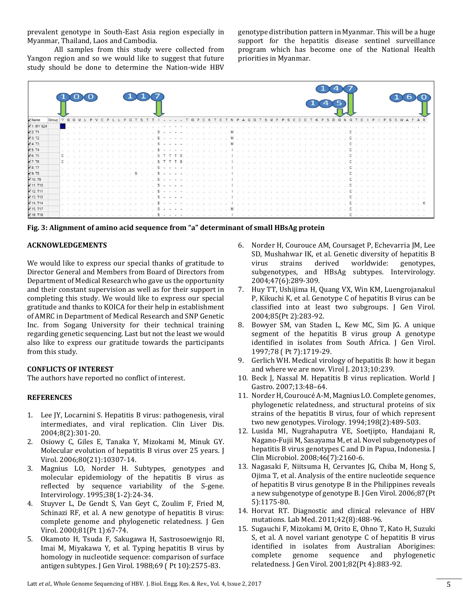prevalent genotype in South-East Asia region especially in Myanmar, Thailand, Laos and Cambodia.

All samples from this study were collected from Yangon region and so we would like to suggest that future study should be done to determine the Nation-wide HBV

genotype distribution pattern in Myanmar. This will be a huge support for the hepatitis disease sentinel surveillance program which has become one of the National Health priorities in Myanmar.

| Name        | Group |               | $\Omega$  | G M |  |  |              |  |  |  |               |        | $\cdot \cdot \cdot$ TGPC    |  |  |  |                                        |  |  |  |  |  |   |  |  | $\mathbf{s}$<br>$\mathbf{p}$ | D G N | G |  | P | P | S. |  |            |  |
|-------------|-------|---------------|-----------|-----|--|--|--------------|--|--|--|---------------|--------|-----------------------------|--|--|--|----------------------------------------|--|--|--|--|--|---|--|--|------------------------------|-------|---|--|---|---|----|--|------------|--|
| 1. MY 624   |       |               |           |     |  |  |              |  |  |  |               |        |                             |  |  |  |                                        |  |  |  |  |  |   |  |  |                              |       |   |  |   |   |    |  |            |  |
| 72.71       |       |               |           |     |  |  |              |  |  |  | <b>S</b>      |        | $\frac{1}{2}$<br>$\sim$     |  |  |  |                                        |  |  |  |  |  |   |  |  |                              |       |   |  |   |   |    |  |            |  |
| 73. T2      |       |               |           |     |  |  |              |  |  |  |               |        |                             |  |  |  |                                        |  |  |  |  |  |   |  |  |                              |       |   |  |   |   |    |  |            |  |
| <b>4.T3</b> |       | $\sim$        |           |     |  |  |              |  |  |  |               |        |                             |  |  |  |                                        |  |  |  |  |  |   |  |  |                              |       |   |  |   |   |    |  |            |  |
| 75. T4      |       | Sales Art     |           |     |  |  |              |  |  |  | s             |        | $\cdots$                    |  |  |  | an earliest art an earliest and        |  |  |  |  |  |   |  |  |                              |       |   |  |   |   |    |  |            |  |
| 6.75        |       | $c$ .         |           |     |  |  |              |  |  |  |               |        |                             |  |  |  |                                        |  |  |  |  |  |   |  |  |                              |       |   |  |   |   |    |  |            |  |
| 7.76        |       |               | $c \cdot$ |     |  |  |              |  |  |  | $\mathcal{S}$ |        | TTTS                        |  |  |  | and the company of the company of      |  |  |  |  |  |   |  |  |                              |       |   |  |   |   |    |  |            |  |
| 8.77        |       | Tel: Tel:     |           |     |  |  |              |  |  |  |               |        |                             |  |  |  |                                        |  |  |  |  |  |   |  |  |                              |       |   |  |   |   |    |  |            |  |
| 9. T8       |       |               |           | .   |  |  | All the said |  |  |  |               |        |                             |  |  |  | 12 YO MARK AND THE REAL PROPERTY.      |  |  |  |  |  |   |  |  |                              |       |   |  |   |   |    |  |            |  |
| 10. T9      |       | No. of Canada |           |     |  |  |              |  |  |  |               |        |                             |  |  |  | will be consider that consider the co- |  |  |  |  |  |   |  |  |                              |       |   |  |   |   |    |  |            |  |
| 11.710      |       | $\sim -1$     |           |     |  |  |              |  |  |  |               |        |                             |  |  |  |                                        |  |  |  |  |  |   |  |  |                              |       |   |  |   |   |    |  |            |  |
| 12. T11     |       | $\sim$ $\sim$ |           |     |  |  |              |  |  |  |               |        |                             |  |  |  |                                        |  |  |  |  |  |   |  |  |                              |       |   |  |   |   |    |  |            |  |
| 13. T12     |       | TALL AVE      |           |     |  |  |              |  |  |  |               | $\sim$ | $\mathcal{L} = \mathcal{L}$ |  |  |  | and the control of the                 |  |  |  |  |  |   |  |  |                              |       |   |  |   |   |    |  |            |  |
| 14. T14     |       | $-1$          |           |     |  |  |              |  |  |  |               |        |                             |  |  |  | 100 St. St. 100 St.                    |  |  |  |  |  | . |  |  |                              |       |   |  |   |   |    |  | . <b>K</b> |  |
| 15. T17     |       |               |           |     |  |  |              |  |  |  |               |        |                             |  |  |  |                                        |  |  |  |  |  |   |  |  |                              |       |   |  |   |   |    |  |            |  |
| 16. T18     |       |               |           |     |  |  |              |  |  |  |               |        |                             |  |  |  |                                        |  |  |  |  |  |   |  |  |                              |       |   |  |   |   |    |  |            |  |

**Fig. 3: Alignment of amino acid sequence from "a" determinant of small HBsAg protein**

## **ACKNOWLEDGEMENTS**

We would like to express our special thanks of gratitude to Director General and Members from Board of Directors from Department of Medical Research who gave us the opportunity and their constant supervision as well as for their support in completing this study. We would like to express our special gratitude and thanks to KOICA for their help in establishment of AMRC in Department of Medical Research and SNP Genetic Inc. from Sogang University for their technical training regarding genetic sequencing. Last but not the least we would also like to express our gratitude towards the participants from this study.

## **CONFLICTS OF INTEREST**

The authors have reported no conflict of interest.

## **REFERENCES**

- 1. Lee JY, Locarnini S. Hepatitis B virus: pathogenesis, viral intermediates, and viral replication. Clin Liver Dis. 2004;8(2):301-20.
- 2. Osiowy C, Giles E, Tanaka Y, Mizokami M, Minuk GY. Molecular evolution of hepatitis B virus over 25 years. J Virol. 2006;80(21):10307-14.
- 3. Magnius LO, Norder H. Subtypes, genotypes and molecular epidemiology of the hepatitis B virus as reflected by sequence variability of the S-gene. Intervirology. 1995;38(1-2):24-34.
- 4. Stuyver L, De Gendt S, Van Geyt C, Zoulim F, Fried M, Schinazi RF, et al. A new genotype of hepatitis B virus: complete genome and phylogenetic relatedness. J Gen Virol. 2000;81(Pt 1):67-74.
- 5. Okamoto H, Tsuda F, Sakugawa H, Sastrosoewignjo RI, Imai M, Miyakawa Y, et al. Typing hepatitis B virus by homology in nucleotide sequence: comparison of surface antigen subtypes. J Gen Virol. 1988;69 ( Pt 10):2575-83.
- 6. Norder H, Courouce AM, Coursaget P, Echevarria JM, Lee SD, Mushahwar IK, et al. Genetic diversity of hepatitis B virus strains derived worldwide: genotypes, subgenotypes, and HBsAg subtypes. Intervirology. 2004;47(6):289-309.
- 7. Huy TT, Ushijima H, Quang VX, Win KM, Luengrojanakul P, Kikuchi K, et al. Genotype C of hepatitis B virus can be classified into at least two subgroups. J Gen Virol. 2004;85(Pt 2):283-92.
- 8. Bowyer SM, van Staden L, Kew MC, Sim JG. A unique segment of the hepatitis B virus group A genotype identified in isolates from South Africa. J Gen Virol. 1997;78 ( Pt 7):1719-29.
- 9. Gerlich WH. Medical virology of hepatitis B: how it began and where we are now. Virol J. 2013;10:239.
- 10. Beck J, Nassal M. Hepatitis B virus replication. World J Gastro. 2007;13:48–64.
- 11. Norder H, Couroucé A-M, Magnius LO. Complete genomes, phylogenetic relatedness, and structural proteins of six strains of the hepatitis B virus, four of which represent two new genotypes. Virology. 1994;198(2):489-503.
- 12. Lusida MI, Nugrahaputra VE, Soetjipto, Handajani R, Nagano-Fujii M, Sasayama M, et al. Novel subgenotypes of hepatitis B virus genotypes C and D in Papua, Indonesia. J Clin Microbiol. 2008;46(7):2160-6.
- 13. Nagasaki F, Niitsuma H, Cervantes JG, Chiba M, Hong S, Ojima T, et al. Analysis of the entire nucleotide sequence of hepatitis B virus genotype B in the Philippines reveals a new subgenotype of genotype B. J Gen Virol. 2006;87(Pt 5):1175-80.
- 14. Horvat RT. Diagnostic and clinical relevance of HBV mutations. Lab Med. 2011;42(8):488-96.
- 15. Sugauchi F, Mizokami M, Orito E, Ohno T, Kato H, Suzuki S, et al. A novel variant genotype C of hepatitis B virus identified in isolates from Australian Aborigines: complete genome sequence and phylogenetic relatedness. J Gen Virol. 2001;82(Pt 4):883-92.